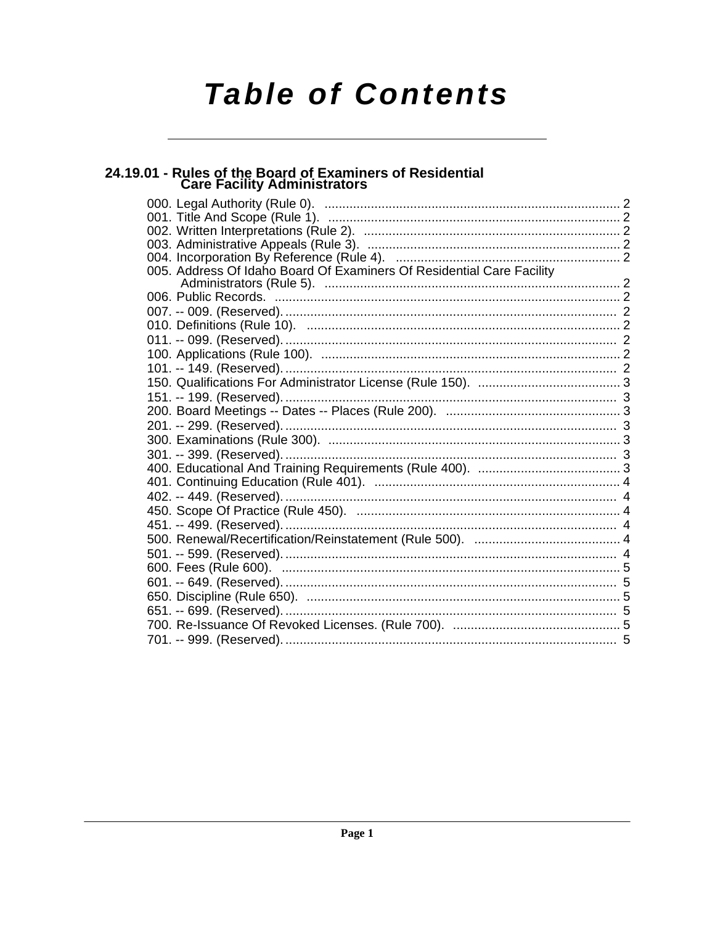# **Table of Contents**

# 24.19.01 - Rules of the Board of Examiners of Residential<br>Care Facility Administrators

| 005. Address Of Idaho Board Of Examiners Of Residential Care Facility |  |
|-----------------------------------------------------------------------|--|
|                                                                       |  |
|                                                                       |  |
|                                                                       |  |
|                                                                       |  |
|                                                                       |  |
|                                                                       |  |
|                                                                       |  |
|                                                                       |  |
|                                                                       |  |
|                                                                       |  |
|                                                                       |  |
|                                                                       |  |
|                                                                       |  |
|                                                                       |  |
|                                                                       |  |
|                                                                       |  |
|                                                                       |  |
|                                                                       |  |
|                                                                       |  |
|                                                                       |  |
|                                                                       |  |
|                                                                       |  |
|                                                                       |  |
|                                                                       |  |
|                                                                       |  |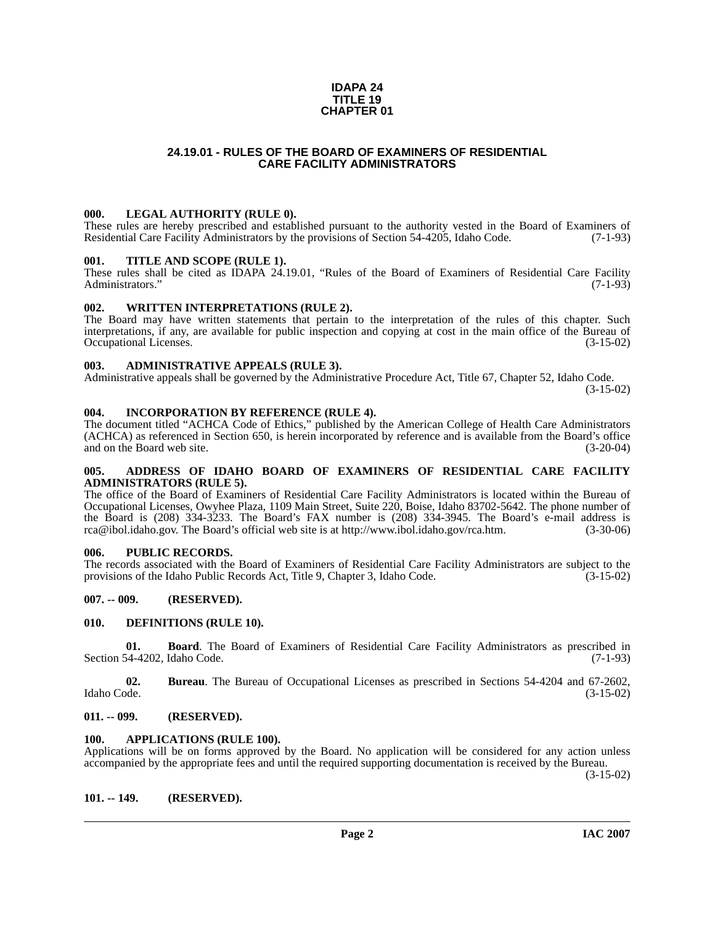#### **IDAPA 24 TITLE 19 CHAPTER 01**

# **24.19.01 - RULES OF THE BOARD OF EXAMINERS OF RESIDENTIAL CARE FACILITY ADMINISTRATORS**

#### <span id="page-1-1"></span><span id="page-1-0"></span>**000. LEGAL AUTHORITY (RULE 0).**

These rules are hereby prescribed and established pursuant to the authority vested in the Board of Examiners of Residential Care Facility Administrators by the provisions of Section 54-4205, Idaho Code. (7-1-93) Residential Care Facility Administrators by the provisions of Section 54-4205, Idaho Code.

#### <span id="page-1-2"></span>**001. TITLE AND SCOPE (RULE 1).**

These rules shall be cited as IDAPA 24.19.01, "Rules of the Board of Examiners of Residential Care Facility Administrators." (7-1-93) Administrators."

#### <span id="page-1-3"></span>**002. WRITTEN INTERPRETATIONS (RULE 2).**

The Board may have written statements that pertain to the interpretation of the rules of this chapter. Such interpretations, if any, are available for public inspection and copying at cost in the main office of the Bureau of Occupational Licenses. (3-15-02)

#### <span id="page-1-4"></span>**003. ADMINISTRATIVE APPEALS (RULE 3).**

Administrative appeals shall be governed by the Administrative Procedure Act, Title 67, Chapter 52, Idaho Code.

(3-15-02)

#### <span id="page-1-5"></span>**004. INCORPORATION BY REFERENCE (RULE 4).**

The document titled "ACHCA Code of Ethics," published by the American College of Health Care Administrators (ACHCA) as referenced in Section 650, is herein incorporated by reference and is available from the Board's office and on the Board web site. (3-20-04)

#### <span id="page-1-6"></span>**005. ADDRESS OF IDAHO BOARD OF EXAMINERS OF RESIDENTIAL CARE FACILITY ADMINISTRATORS (RULE 5).**

[The office of the Board of Examiners of Residential Care Facility Administrators is located within the Bureau of](mailto:rca@ibol.idaho.gov) Occupational Licenses, Owyhee Plaza, 1109 Main Street, Suite 220, Boise, Idaho 83702-5642. The phone number of the Board is (208) 334-3233. The Board's FAX number is (208) 334-3945. The Board's e-mail address is [rca@ibol.idaho.gov. The Board's official web site is at](mailto:rca@ibol.idaho.gov) [http://www.ibol.idaho.gov/rca.htm. \(3-30-06\)](http://www.ibol.idaho.gov/rca.htm)

#### <span id="page-1-7"></span>**006. PUBLIC RECORDS.**

The records associated with the Board of Examiners of Residential Care Facility Administrators are subject to the provisions of the Idaho Public Records Act, Title 9, Chapter 3, Idaho Code. (3-15-02) provisions of the Idaho Public Records Act, Title 9, Chapter 3, Idaho Code.

#### <span id="page-1-8"></span>**007. -- 009. (RESERVED).**

#### <span id="page-1-14"></span><span id="page-1-9"></span>**010. DEFINITIONS (RULE 10).**

**01. Board**. The Board of Examiners of Residential Care Facility Administrators as prescribed in Section 54-4202, Idaho Code. (7-1-93)

**02.** Bureau. The Bureau of Occupational Licenses as prescribed in Sections 54-4204 and 67-2602, Idaho Code. (3-15-02) Idaho Code. (3-15-02)

#### <span id="page-1-10"></span>**011. -- 099. (RESERVED).**

#### <span id="page-1-13"></span><span id="page-1-11"></span>**100. APPLICATIONS (RULE 100).**

Applications will be on forms approved by the Board. No application will be considered for any action unless accompanied by the appropriate fees and until the required supporting documentation is received by the Bureau.

(3-15-02)

#### <span id="page-1-12"></span>**101. -- 149. (RESERVED).**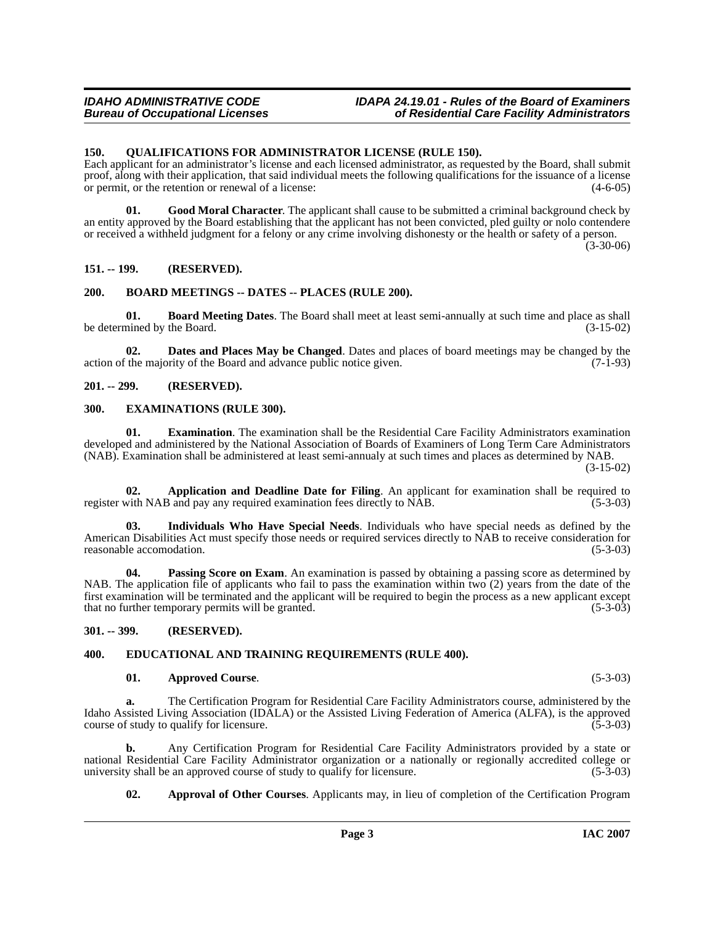#### <span id="page-2-17"></span><span id="page-2-0"></span>**150. QUALIFICATIONS FOR ADMINISTRATOR LICENSE (RULE 150).**

Each applicant for an administrator's license and each licensed administrator, as requested by the Board, shall submit proof, along with their application, that said individual meets the following qualifications for the issuance of a license or permit, or the retention or renewal of a license: (4-6-05)

**01. Good Moral Character**. The applicant shall cause to be submitted a criminal background check by an entity approved by the Board establishing that the applicant has not been convicted, pled guilty or nolo contendere or received a withheld judgment for a felony or any crime involving dishonesty or the health or safety of a person. (3-30-06)

# <span id="page-2-1"></span>**151. -- 199. (RESERVED).**

# <span id="page-2-11"></span><span id="page-2-2"></span>**200. BOARD MEETINGS -- DATES -- PLACES (RULE 200).**

<span id="page-2-10"></span>**01. Board Meeting Dates**. The Board shall meet at least semi-annually at such time and place as shall be determined by the Board.

<span id="page-2-12"></span>**02. Dates and Places May be Changed**. Dates and places of board meetings may be changed by the action of the majority of the Board and advance public notice given.  $(7-1-93)$ 

# <span id="page-2-3"></span>**201. -- 299. (RESERVED).**

#### <span id="page-2-14"></span><span id="page-2-4"></span>**300. EXAMINATIONS (RULE 300).**

**01. Examination**. The examination shall be the Residential Care Facility Administrators examination developed and administered by the National Association of Boards of Examiners of Long Term Care Administrators (NAB). Examination shall be administered at least semi-annualy at such times and places as determined by NAB.

(3-15-02)

<span id="page-2-7"></span>**02. Application and Deadline Date for Filing**. An applicant for examination shall be required to register with NAB and pay any required examination fees directly to NAB. (5-3-03)

<span id="page-2-15"></span>**03. Individuals Who Have Special Needs**. Individuals who have special needs as defined by the American Disabilities Act must specify those needs or required services directly to NAB to receive consideration for reasonable accomodation. (5-3-03) reasonable accomodation.

<span id="page-2-16"></span>**04.** Passing Score on Exam. An examination is passed by obtaining a passing score as determined by NAB. The application file of applicants who fail to pass the examination within two (2) years from the date of the first examination will be terminated and the applicant will be required to begin the process as a new applicant except that no further temporary permits will be granted. (5-3-03)

<span id="page-2-5"></span>**301. -- 399. (RESERVED).**

# <span id="page-2-6"></span>**400. EDUCATIONAL AND TRAINING REQUIREMENTS (RULE 400).**

#### <span id="page-2-13"></span><span id="page-2-9"></span>**01. Approved Course**. (5-3-03)

**a.** The Certification Program for Residential Care Facility Administrators course, administered by the Idaho Assisted Living Association (IDALA) or the Assisted Living Federation of America (ALFA), is the approved course of study to qualify for licensure. course of study to qualify for licensure.

**b.** Any Certification Program for Residential Care Facility Administrators provided by a state or national Residential Care Facility Administrator organization or a nationally or regionally accredited college or<br>university shall be an approved course of study to qualify for licensure. (5-3-03) university shall be an approved course of study to qualify for licensure.

<span id="page-2-8"></span>**02. Approval of Other Courses**. Applicants may, in lieu of completion of the Certification Program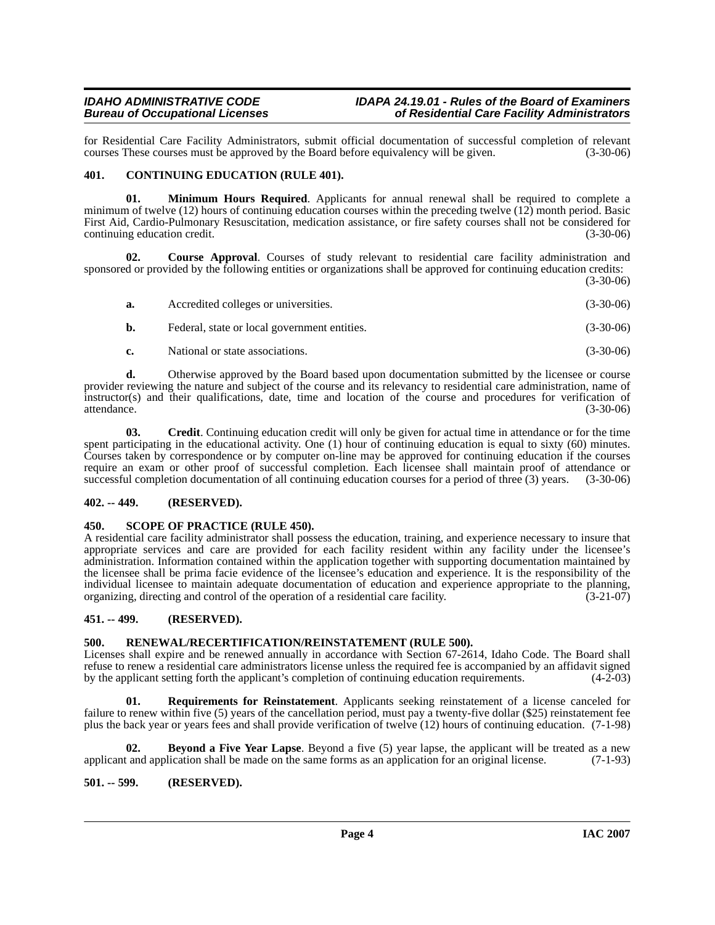for Residential Care Facility Administrators, submit official documentation of successful completion of relevant courses These courses must be approved by the Board before equivalency will be given. (3-30-06) courses These courses must be approved by the Board before equivalency will be given.

# <span id="page-3-7"></span><span id="page-3-0"></span>**401. CONTINUING EDUCATION (RULE 401).**

**01. Minimum Hours Required**. Applicants for annual renewal shall be required to complete a minimum of twelve (12) hours of continuing education courses within the preceding twelve (12) month period. Basic First Aid, Cardio-Pulmonary Resuscitation, medication assistance, or fire safety courses shall not be considered for continuing education credit. (3-30-06)

**02. Course Approval**. Courses of study relevant to residential care facility administration and sponsored or provided by the following entities or organizations shall be approved for continuing education credits: (3-30-06)

| а.  | Accredited colleges or universities.         | $(3-30-06)$ |
|-----|----------------------------------------------|-------------|
| b.  | Federal, state or local government entities. | $(3-30-06)$ |
| e – | National or state associations.              | $(3-30-06)$ |

**d.** Otherwise approved by the Board based upon documentation submitted by the licensee or course provider reviewing the nature and subject of the course and its relevancy to residential care administration, name of instructor(s) and their qualifications, date, time and location of the course and procedures for verification of attendance. (3-30-06)

**03. Credit**. Continuing education credit will only be given for actual time in attendance or for the time spent participating in the educational activity. One (1) hour of continuing education is equal to sixty (60) minutes. Courses taken by correspondence or by computer on-line may be approved for continuing education if the courses require an exam or other proof of successful completion. Each licensee shall maintain proof of attendance or successful completion documentation of all continuing education courses for a period of three (3) years. (3-30-06)

# <span id="page-3-1"></span>**402. -- 449. (RESERVED).**

# <span id="page-3-2"></span>**450. SCOPE OF PRACTICE (RULE 450).**

A residential care facility administrator shall possess the education, training, and experience necessary to insure that appropriate services and care are provided for each facility resident within any facility under the licensee's administration. Information contained within the application together with supporting documentation maintained by the licensee shall be prima facie evidence of the licensee's education and experience. It is the responsibility of the individual licensee to maintain adequate documentation of education and experience appropriate to the planning, organizing, directing and control of the operation of a residential care facility. (3-21-07) organizing, directing and control of the operation of a residential care facility.

# <span id="page-3-3"></span>**451. -- 499. (RESERVED).**

# <span id="page-3-8"></span><span id="page-3-4"></span>**500. RENEWAL/RECERTIFICATION/REINSTATEMENT (RULE 500).**

Licenses shall expire and be renewed annually in accordance with Section 67-2614, Idaho Code. The Board shall refuse to renew a residential care administrators license unless the required fee is accompanied by an affidavit signed by the applicant setting forth the applicant's completion of continuing education requirements. (4-2-03)

<span id="page-3-9"></span>**01. Requirements for Reinstatement**. Applicants seeking reinstatement of a license canceled for failure to renew within five (5) years of the cancellation period, must pay a twenty-five dollar (\$25) reinstatement fee plus the back year or years fees and shall provide verification of twelve (12) hours of continuing education. (7-1-98)

<span id="page-3-6"></span>**02. Beyond a Five Year Lapse**. Beyond a five (5) year lapse, the applicant will be treated as a new t and application shall be made on the same forms as an application for an original license. (7-1-93) applicant and application shall be made on the same forms as an application for an original license.

# <span id="page-3-5"></span>**501. -- 599. (RESERVED).**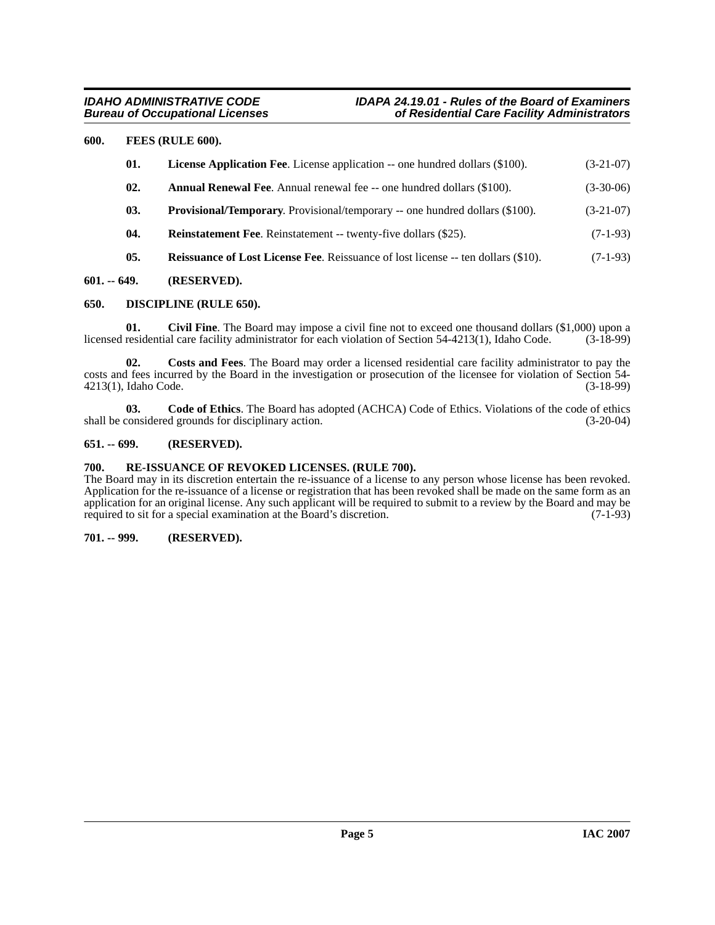# <span id="page-4-0"></span>**600. FEES (RULE 600).**

<span id="page-4-16"></span><span id="page-4-13"></span><span id="page-4-12"></span><span id="page-4-11"></span><span id="page-4-6"></span>

| 01. | <b>License Application Fee.</b> License application -- one hundred dollars (\$100).      | $(3-21-07)$ |
|-----|------------------------------------------------------------------------------------------|-------------|
| 02. | <b>Annual Renewal Fee.</b> Annual renewal fee -- one hundred dollars (\$100).            | $(3-30-06)$ |
| 03. | <b>Provisional/Temporary.</b> Provisional/temporary -- one hundred dollars (\$100).      | $(3-21-07)$ |
| 04. | <b>Reinstatement Fee.</b> Reinstatement -- twenty-five dollars (\$25).                   | $(7-1-93)$  |
| 05. | <b>Reissuance of Lost License Fee.</b> Reissuance of lost license -- ten dollars (\$10). | $(7-1-93)$  |

# <span id="page-4-15"></span><span id="page-4-1"></span>**601. -- 649. (RESERVED).**

# <span id="page-4-10"></span><span id="page-4-2"></span>**650. DISCIPLINE (RULE 650).**

<span id="page-4-7"></span>**01.** Civil Fine. The Board may impose a civil fine not to exceed one thousand dollars (\$1,000) upon a residential care facility administrator for each violation of Section 54-4213(1), Idaho Code. (3-18-99) licensed residential care facility administrator for each violation of Section 54-4213(1), Idaho Code.

<span id="page-4-9"></span>**02. Costs and Fees**. The Board may order a licensed residential care facility administrator to pay the costs and fees incurred by the Board in the investigation or prosecution of the licensee for violation of Section 54-<br>4213(1), Idaho Code. (3-18-99) 4213(1), Idaho Code.

<span id="page-4-8"></span>**03. Code of Ethics**. The Board has adopted (ACHCA) Code of Ethics. Violations of the code of ethics shall be considered grounds for disciplinary action. (3-20-04)

# <span id="page-4-3"></span>**651. -- 699. (RESERVED).**

### <span id="page-4-14"></span><span id="page-4-4"></span>**700. RE-ISSUANCE OF REVOKED LICENSES. (RULE 700).**

The Board may in its discretion entertain the re-issuance of a license to any person whose license has been revoked. Application for the re-issuance of a license or registration that has been revoked shall be made on the same form as an application for an original license. Any such applicant will be required to submit to a review by the Board and may be required to sit for a special examination at the Board's discretion. (7-1-93) required to sit for a special examination at the Board's discretion.

#### <span id="page-4-5"></span>**701. -- 999. (RESERVED).**